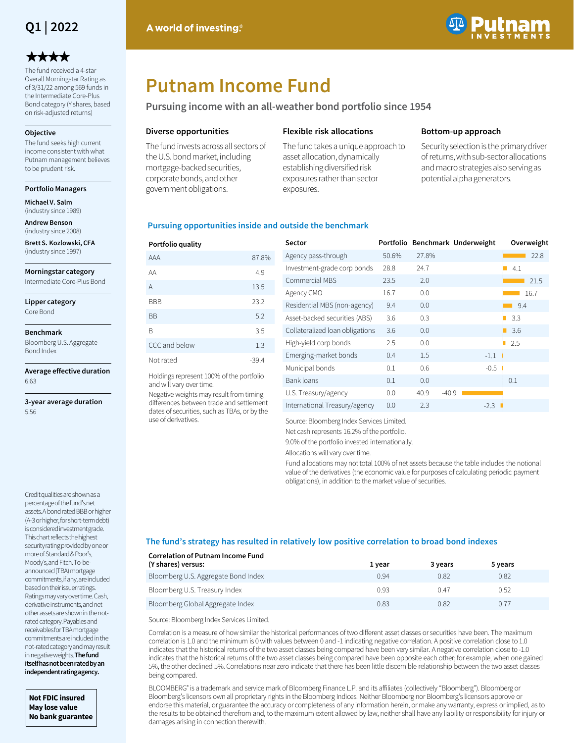

# \*\*\*\*

The fund received a 4-star Overall Morningstar Rating as of 3/31/22 among 569 funds in the Intermediate Core-Plus Bond category (Y shares, based on risk-adjusted returns)

#### **Objective**

The fund seeks high current income consistent with what Putnam management believes to be prudent risk.

### **Portfolio Managers**

**Michael V. Salm**  (industry since 1989)

**Andrew Benson**  (industry since 2008)

**Brett S. Kozlowski, CFA**  (industry since 1997)

**Morningstar category**

Intermediate Core-Plus Bond

**Lipper category** Core Bond

**Benchmark**

Bloomberg U.S. Aggregate Bond Index

**Average effective duration** 6.63

**3-year average duration** 5.56

Credit qualities are shown as a percentage of the fund's net assets. A bond rated BBB or higher (A-3 or higher, for short-term debt) is considered investment grade. This chart reflects the highest security rating provided by one or more of Standard & Poor's, Moody's, and Fitch. To-beannounced (TBA) mortgage commitments, if any, are included based on their issuer ratings. Ratings may vary over time. Cash, derivative instruments, and net other assets are shown in the notrated category. Payables and receivables for TBA mortgage commitments are included in the not-rated category and may result in negative weights. **The fund itself has not been rated by an independent rating agency.** 

**Not FDIC insured May lose value No bank guarantee**



# **Putnam Income Fund**

**Pursuing income with an all-weather bond portfolio since 1954**

## **Diverse opportunities**

The fund invests across all sectors of the U.S. bond market, including mortgage-backed securities, corporate bonds, and other government obligations.

## **Flexible risk allocations**

The fund takes a unique approach to asset allocation, dynamically establishing diversified risk exposures rather than sector exposures.

## **Bottom-up approach**

Security selection is the primary driver of returns, with sub-sector allocations and macro strategies also serving as potential alpha generators.

## **Pursuing opportunities inside and outside the benchmark**

| Portfolio quality |         |
|-------------------|---------|
| AAA               | 87.8%   |
| AA                | 4.9     |
| A                 | 13.5    |
| <b>BBB</b>        | 23.2    |
| <b>BB</b>         | 5.2     |
| B                 | 3.5     |
| CCC and below     | 1.3     |
| Not rated         | $-39.4$ |

Holdings represent 100% of the portfolio and will vary over time.

Negative weights may result from timing differences between trade and settlement dates of securities, such as TBAs, or by the use of derivatives.

| Sector                          | Portfolio |       | Benchmark Underweight | Overweight |
|---------------------------------|-----------|-------|-----------------------|------------|
| Agency pass-through             | 50.6%     | 27.8% |                       | 22.8       |
| Investment-grade corp bonds     | 28.8      | 24.7  |                       | 4.1        |
| Commercial MBS                  | 23.5      | 2.0   |                       | 21.5       |
| Agency CMO                      | 16.7      | 0.0   |                       | 16.7       |
| Residential MBS (non-agency)    | 9.4       | 0.0   |                       | 9.4        |
| Asset-backed securities (ABS)   | 3.6       | 0.3   |                       | 3.3        |
| Collateralized loan obligations | 3.6       | 0.0   |                       | 3.6        |
| High-yield corp bonds           | 2.5       | 0.0   |                       | 2.5        |
| Emerging-market bonds           | 0.4       | 1.5   | $-1.1$                |            |
| Municipal bonds                 | 0.1       | 0.6   | $-0.5$                |            |
| Bank loans                      | 0.1       | 0.0   |                       | 0.1        |
| U.S. Treasury/agency            | 0.0       | 40.9  | $-40.9$               |            |
| International Treasury/agency   | 0.0       | 2.3   | $-2.3$                |            |

Source: Bloomberg Index Services Limited.

Net cash represents 16.2% of the portfolio.

9.0% of the portfolio invested internationally.

Allocations will vary over time.

Fund allocations may not total 100% of net assets because the table includes the notional value of the derivatives (the economic value for purposes of calculating periodic payment obligations), in addition to the market value of securities.

## **The fund's strategy has resulted in relatively low positive correlation to broad bond indexes**

| <b>Correlation of Putnam Income Fund</b><br>(Y shares) versus: | 1 year | 3 years | 5 years |  |
|----------------------------------------------------------------|--------|---------|---------|--|
| Bloomberg U.S. Aggregate Bond Index                            | 0.94   | 0.82    | 0.82    |  |
| Bloomberg U.S. Treasury Index                                  | 0.93   | 0.47    | 0.52    |  |
| Bloomberg Global Aggregate Index                               | 0.83   | 0.82    | 0.77    |  |

Source: Bloomberg Index Services Limited.

Correlation is a measure of how similar the historical performances of two different asset classes or securities have been. The maximum correlation is 1.0 and the minimum is 0 with values between 0 and -1 indicating negative correlation. A positive correlation close to 1.0 indicates that the historical returns of the two asset classes being compared have been very similar. A negative correlation close to -1.0 indicates that the historical returns of the two asset classes being compared have been opposite each other; for example, when one gained 5%, the other declined 5%. Correlations near zero indicate that there has been little discernible relationship between the two asset classes being compared.

BLOOMBERG® is a trademark and service mark of Bloomberg Finance L.P. and its affiliates (collectively "Bloomberg"). Bloomberg or Bloomberg's licensors own all proprietary rights in the Bloomberg Indices. Neither Bloomberg nor Bloomberg's licensors approve or endorse this material, or guarantee the accuracy or completeness of any information herein, or make any warranty, express or implied, as to the results to be obtained therefrom and, to the maximum extent allowed by law, neither shall have any liability or responsibility for injury or damages arising in connection therewith.